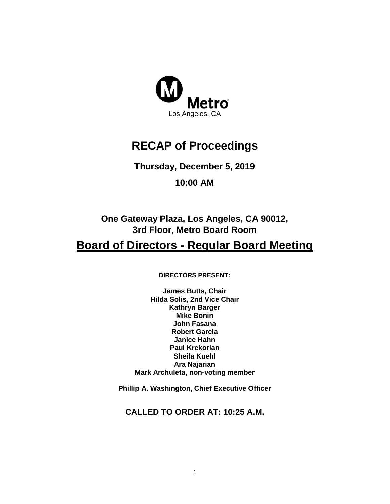

# **RECAP of Proceedings**

**Thursday, December 5, 2019**

**10:00 AM**

**One Gateway Plaza, Los Angeles, CA 90012, 3rd Floor, Metro Board Room**

# **Board of Directors - Regular Board Meeting**

**DIRECTORS PRESENT:** 

**James Butts, Chair Hilda Solis, 2nd Vice Chair Kathryn Barger Mike Bonin John Fasana Robert Garcia Janice Hahn Paul Krekorian Sheila Kuehl Ara Najarian Mark Archuleta, non-voting member**

**Phillip A. Washington, Chief Executive Officer**

**CALLED TO ORDER AT: 10:25 A.M.**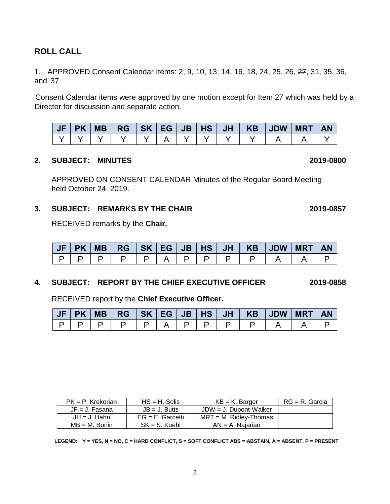# **ROLL CALL**

1. APPROVED Consent Calendar Items: 2, 9, 10, 13, 14, 16, 18, 24, 25, 26, 27, 31, 35, 36, and 37

Consent Calendar items were approved by one motion except for Item 27 which was held by a Director for discussion and separate action.

| JF | $PK$   MB |  |  |  | RG   SK   EG   JB   HS   JH   KB   JDW | <b>MRT</b> | <b>AN</b> |
|----|-----------|--|--|--|----------------------------------------|------------|-----------|
|    |           |  |  |  |                                        |            |           |

### **2. SUBJECT: MINUTES 2019-0800**

APPROVED ON CONSENT CALENDAR Minutes of the Regular Board Meeting held October 24, 2019.

### **3. SUBJECT: REMARKS BY THE CHAIR 2019-0857**

RECEIVED remarks by the **Chair.**

|  | <b>MB</b> | <b>RG</b> | SK   EG | <b>JB</b> | HS | <b>JH</b> | <b>KB</b> | <b>JDW</b> | <b>MRT</b> | <b>AN</b> |
|--|-----------|-----------|---------|-----------|----|-----------|-----------|------------|------------|-----------|
|  |           |           |         |           |    |           |           |            |            |           |

### **4. SUBJECT: REPORT BY THE CHIEF EXECUTIVE OFFICER 2019-0858**

RECEIVED report by the **Chief Executive Officer.** 

| JF | PK MB |  |  |  | RG   SK   EG   JB   HS   JH   KB   JDW | <b>MRT</b> | <b>AN</b> |
|----|-------|--|--|--|----------------------------------------|------------|-----------|
|    |       |  |  |  |                                        |            |           |

| $PK = P$ . Krekorian | $HS = H$ . Solis    | $KB = K$ . Barger         | RG = R. Garcia |
|----------------------|---------------------|---------------------------|----------------|
| $JF = J$ . Fasana    | $JB = J.$ Butts     | $JDW = J$ . Dupont-Walker |                |
| $JH = J$ . Hahn      | $EG = E$ . Garcetti | $MRT = M$ . Ridlev-Thomas |                |
| $MB = M.$ Bonin      | $SK = S$ . Kuehl    | $AN = A$ . Naiarian       |                |

**LEGEND: Y = YES, N = NO, C = HARD CONFLICT, S = SOFT CONFLICT ABS = ABSTAIN, A = ABSENT, P = PRESENT**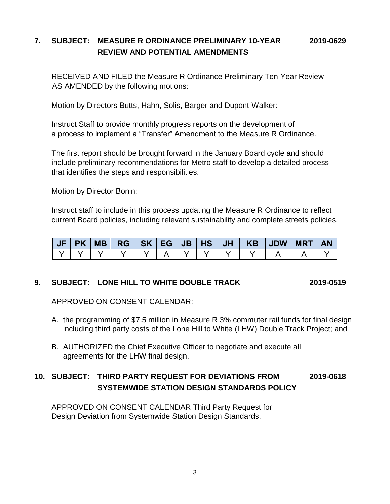# **7. SUBJECT: MEASURE R ORDINANCE PRELIMINARY 10-YEAR 2019-0629 REVIEW AND POTENTIAL AMENDMENTS**

RECEIVED AND FILED the Measure R Ordinance Preliminary Ten-Year Review AS AMENDED by the following motions:

### Motion by Directors Butts, Hahn, Solis, Barger and Dupont-Walker:

Instruct Staff to provide monthly progress reports on the development of a process to implement a "Transfer" Amendment to the Measure R Ordinance.

The first report should be brought forward in the January Board cycle and should include preliminary recommendations for Metro staff to develop a detailed process that identifies the steps and responsibilities.

### Motion by Director Bonin:

Instruct staff to include in this process updating the Measure R Ordinance to reflect current Board policies, including relevant sustainability and complete streets policies.

|  |  |  |  |  | JF PK MB  RG  SK EG JB HS JH   KB  JDW MRT | <b>AN</b> |
|--|--|--|--|--|--------------------------------------------|-----------|
|  |  |  |  |  |                                            |           |

### **9. SUBJECT: LONE HILL TO WHITE DOUBLE TRACK 2019-0519**

APPROVED ON CONSENT CALENDAR:

- A. the programming of \$7.5 million in Measure R 3% commuter rail funds for final design including third party costs of the Lone Hill to White (LHW) Double Track Project; and
- B. AUTHORIZED the Chief Executive Officer to negotiate and execute all agreements for the LHW final design.

# **10. SUBJECT: THIRD PARTY REQUEST FOR DEVIATIONS FROM 2019-0618 SYSTEMWIDE STATION DESIGN STANDARDS POLICY**

APPROVED ON CONSENT CALENDAR Third Party Request for Design Deviation from Systemwide Station Design Standards.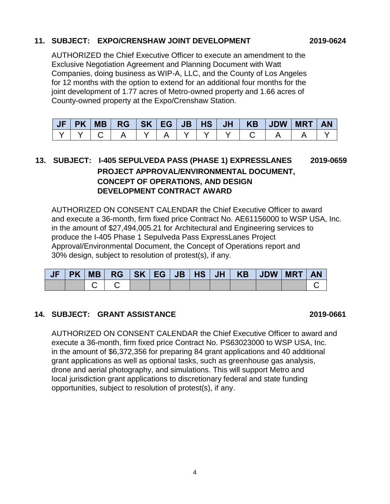### **11. SUBJECT: EXPO/CRENSHAW JOINT DEVELOPMENT 2019-0624**

AUTHORIZED the Chief Executive Officer to execute an amendment to the Exclusive Negotiation Agreement and Planning Document with Watt Companies, doing business as WIP-A, LLC, and the County of Los Angeles for 12 months with the option to extend for an additional four months for the joint development of 1.77 acres of Metro-owned property and 1.66 acres of County-owned property at the Expo/Crenshaw Station.

| $\mathsf{U}$ | <b>PK</b> | <b>MB</b> | <b>RG</b> | SK . | <b>EG</b> | JB' | <b>HS</b> | <b>JH</b> | <b>KB</b> | <b>JDW</b> | <b>MRT</b> | <b>AN</b> |
|--------------|-----------|-----------|-----------|------|-----------|-----|-----------|-----------|-----------|------------|------------|-----------|
|              |           |           |           |      |           |     |           |           |           |            |            |           |

# **13. SUBJECT: I-405 SEPULVEDA PASS (PHASE 1) EXPRESSLANES 2019-0659 PROJECT APPROVAL/ENVIRONMENTAL DOCUMENT, CONCEPT OF OPERATIONS, AND DESIGN DEVELOPMENT CONTRACT AWARD**

AUTHORIZED ON CONSENT CALENDAR the Chief Executive Officer to award and execute a 36-month, firm fixed price Contract No. AE61156000 to WSP USA, Inc. in the amount of \$27,494,005.21 for Architectural and Engineering services to produce the I-405 Phase 1 Sepulveda Pass ExpressLanes Project Approval/Environmental Document, the Concept of Operations report and 30% design, subject to resolution of protest(s), if any.

|  |  |  |  |  | JF   PK   MB   RG   SK   EG   JB   HS   JH   KB   JDW   MRT | <b>AN</b> |
|--|--|--|--|--|-------------------------------------------------------------|-----------|
|  |  |  |  |  |                                                             |           |

# **14. SUBJECT: GRANT ASSISTANCE 2019-0661**

AUTHORIZED ON CONSENT CALENDAR the Chief Executive Officer to award and execute a 36-month, firm fixed price Contract No. PS63023000 to WSP USA, Inc. in the amount of \$6,372,356 for preparing 84 grant applications and 40 additional grant applications as well as optional tasks, such as greenhouse gas analysis, drone and aerial photography, and simulations. This will support Metro and local jurisdiction grant applications to discretionary federal and state funding opportunities, subject to resolution of protest(s), if any.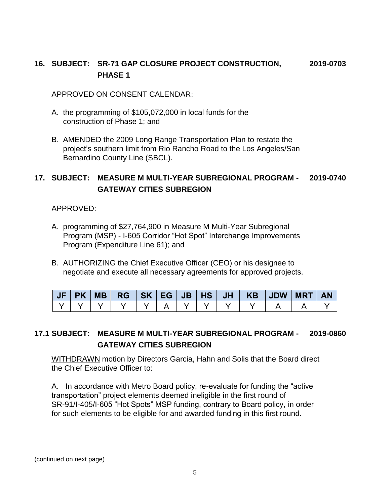# **16. SUBJECT: SR-71 GAP CLOSURE PROJECT CONSTRUCTION, 2019-0703 PHASE 1**

APPROVED ON CONSENT CALENDAR:

- A. the programming of \$105,072,000 in local funds for the construction of Phase 1; and
- B. AMENDED the 2009 Long Range Transportation Plan to restate the project's southern limit from Rio Rancho Road to the Los Angeles/San Bernardino County Line (SBCL).

# **17. SUBJECT: MEASURE M MULTI-YEAR SUBREGIONAL PROGRAM - 2019-0740 GATEWAY CITIES SUBREGION**

APPROVED:

- A. programming of \$27,764,900 in Measure M Multi-Year Subregional Program (MSP) - I-605 Corridor "Hot Spot" Interchange Improvements Program (Expenditure Line 61); and
- B. AUTHORIZING the Chief Executive Officer (CEO) or his designee to negotiate and execute all necessary agreements for approved projects.

|  |  |  |  |  | JF PK MB  RG  SK EG JB HS JH   KB  JDW | <b>MRT</b> |  |
|--|--|--|--|--|----------------------------------------|------------|--|
|  |  |  |  |  |                                        |            |  |

# **17.1 SUBJECT: MEASURE M MULTI-YEAR SUBREGIONAL PROGRAM - 2019-0860 GATEWAY CITIES SUBREGION**

WITHDRAWN motion by Directors Garcia, Hahn and Solis that the Board direct the Chief Executive Officer to:

A. In accordance with Metro Board policy, re-evaluate for funding the "active transportation" project elements deemed ineligible in the first round of SR-91/I-405/I-605 "Hot Spots" MSP funding, contrary to Board policy, in order for such elements to be eligible for and awarded funding in this first round.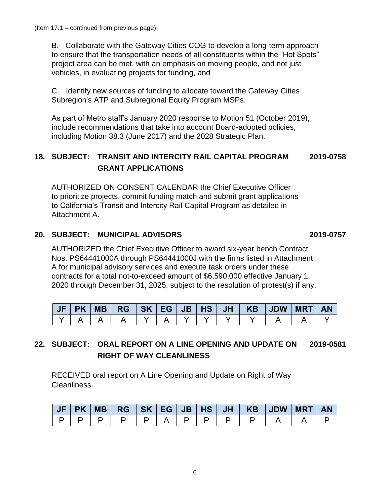B. Collaborate with the Gateway Cities COG to develop a long-term approach to ensure that the transportation needs of all constituents within the "Hot Spots" project area can be met, with an emphasis on moving people, and not just vehicles, in evaluating projects for funding, and

C. Identify new sources of funding to allocate toward the Gateway Cities Subregion's ATP and Subregional Equity Program MSPs.

As part of Metro staff's January 2020 response to Motion 51 (October 2019), include recommendations that take into account Board-adopted policies, including Motion 38.3 (June 2017) and the 2028 Strategic Plan.

# **18. SUBJECT: TRANSIT AND INTERCITY RAIL CAPITAL PROGRAM 2019-0758 GRANT APPLICATIONS**

AUTHORIZED ON CONSENT CALENDAR the Chief Executive Officer to prioritize projects, commit funding match and submit grant applications to California's Transit and Intercity Rail Capital Program as detailed in Attachment A.

# **20. SUBJECT: MUNICIPAL ADVISORS 2019-0757**

AUTHORIZED the Chief Executive Officer to award six-year bench Contract Nos. PS64441000A through PS64441000J with the firms listed in Attachment A for municipal advisory services and execute task orders under these contracts for a total not-to-exceed amount of \$6,590,000 effective January 1, 2020 through December 31, 2025, subject to the resolution of protest(s) if any.

| UF | <b>PK</b> |  |  |  |  | <b>MRT</b> |  |
|----|-----------|--|--|--|--|------------|--|
|    |           |  |  |  |  |            |  |

# **22. SUBJECT: ORAL REPORT ON A LINE OPENING AND UPDATE ON 2019-0581 RIGHT OF WAY CLEANLINESS**

RECEIVED oral report on A Line Opening and Update on Right of Way Cleanliness.

|    |  |  |                                                                                                                             |  |  | JF PK MB  RG  SK EG JB HS JH   KB  JDW MRT AN |  |
|----|--|--|-----------------------------------------------------------------------------------------------------------------------------|--|--|-----------------------------------------------|--|
| D. |  |  | $\begin{array}{c c c c c c} \hline \textbf{I} & \textbf{D} & \textbf{I} & \textbf{D} & \textbf{I} & \textbf{D} \end{array}$ |  |  |                                               |  |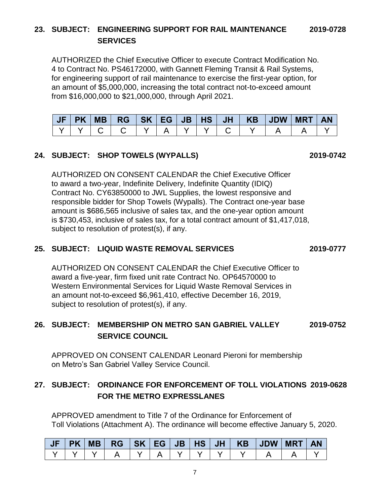# **23. SUBJECT: ENGINEERING SUPPORT FOR RAIL MAINTENANCE 2019-0728 SERVICES**

AUTHORIZED the Chief Executive Officer to execute Contract Modification No. 4 to Contract No. PS46172000, with Gannett Fleming Transit & Rail Systems, for engineering support of rail maintenance to exercise the first-year option, for an amount of \$5,000,000, increasing the total contract not-to-exceed amount from \$16,000,000 to \$21,000,000, through April 2021.

**JF PK MB RG SK EG JB HS JH KB JDW MRT AN** Y | Y | C | C | Y | A | Y | Y | C | Y | A | A | Y

### **24. SUBJECT: SHOP TOWELS (WYPALLS) 2019-0742**

AUTHORIZED ON CONSENT CALENDAR the Chief Executive Officer to award a two-year, Indefinite Delivery, Indefinite Quantity (IDIQ) Contract No. CY63850000 to JWL Supplies, the lowest responsive and responsible bidder for Shop Towels (Wypalls). The Contract one-year base amount is \$686,565 inclusive of sales tax, and the one-year option amount is \$730,453, inclusive of sales tax, for a total contract amount of \$1,417,018, subject to resolution of protest(s), if any.

### **25. SUBJECT: LIQUID WASTE REMOVAL SERVICES 2019-0777**

AUTHORIZED ON CONSENT CALENDAR the Chief Executive Officer to award a five-year, firm fixed unit rate Contract No. OP64570000 to Western Environmental Services for Liquid Waste Removal Services in an amount not-to-exceed \$6,961,410, effective December 16, 2019, subject to resolution of protest(s), if any.

# **26. SUBJECT: MEMBERSHIP ON METRO SAN GABRIEL VALLEY 2019-0752 SERVICE COUNCIL**

APPROVED ON CONSENT CALENDAR Leonard Pieroni for membership on Metro's San Gabriel Valley Service Council.

# **27. SUBJECT: ORDINANCE FOR ENFORCEMENT OF TOLL VIOLATIONS 2019-0628 FOR THE METRO EXPRESSLANES**

APPROVED amendment to Title 7 of the Ordinance for Enforcement of Toll Violations (Attachment A). The ordinance will become effective January 5, 2020.

|  |  |  |  |  |  | <b>AN</b> |
|--|--|--|--|--|--|-----------|
|  |  |  |  |  |  |           |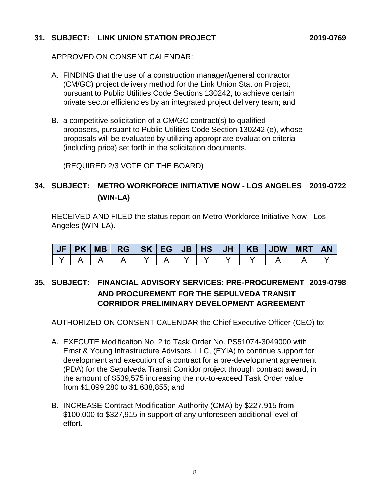### **31. SUBJECT: LINK UNION STATION PROJECT 2019-0769**

APPROVED ON CONSENT CALENDAR:

- A. FINDING that the use of a construction manager/general contractor (CM/GC) project delivery method for the Link Union Station Project, pursuant to Public Utilities Code Sections 130242, to achieve certain private sector efficiencies by an integrated project delivery team; and
- B. a competitive solicitation of a CM/GC contract(s) to qualified proposers, pursuant to Public Utilities Code Section 130242 (e), whose proposals will be evaluated by utilizing appropriate evaluation criteria (including price) set forth in the solicitation documents.

(REQUIRED 2/3 VOTE OF THE BOARD)

# **34. SUBJECT: METRO WORKFORCE INITIATIVE NOW - LOS ANGELES 2019-0722 (WIN-LA)**

RECEIVED AND FILED the status report on Metro Workforce Initiative Now - Los Angeles (WIN-LA).

|  | MB |  |  | JH | <b>KB</b> | $\vert$ JDW $\vert$ | <b>MRT</b> | <b>AN</b> |
|--|----|--|--|----|-----------|---------------------|------------|-----------|
|  |    |  |  |    |           |                     |            |           |

# **35. SUBJECT: FINANCIAL ADVISORY SERVICES: PRE-PROCUREMENT 2019-0798 AND PROCUREMENT FOR THE SEPULVEDA TRANSIT CORRIDOR PRELIMINARY DEVELOPMENT AGREEMENT**

AUTHORIZED ON CONSENT CALENDAR the Chief Executive Officer (CEO) to:

- A. EXECUTE Modification No. 2 to Task Order No. PS51074-3049000 with Ernst & Young Infrastructure Advisors, LLC, (EYIA) to continue support for development and execution of a contract for a pre-development agreement (PDA) for the Sepulveda Transit Corridor project through contract award, in the amount of \$539,575 increasing the not-to-exceed Task Order value from \$1,099,280 to \$1,638,855; and
- B. INCREASE Contract Modification Authority (CMA) by \$227,915 from \$100,000 to \$327,915 in support of any unforeseen additional level of effort.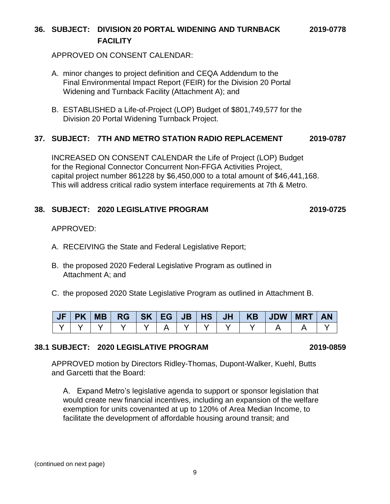# **36. SUBJECT: DIVISION 20 PORTAL WIDENING AND TURNBACK 2019-0778 FACILITY**

APPROVED ON CONSENT CALENDAR:

- A. minor changes to project definition and CEQA Addendum to the Final Environmental Impact Report (FEIR) for the Division 20 Portal Widening and Turnback Facility (Attachment A); and
- B. ESTABLISHED a Life-of-Project (LOP) Budget of \$801,749,577 for the Division 20 Portal Widening Turnback Project.

### **37. SUBJECT: 7TH AND METRO STATION RADIO REPLACEMENT 2019-0787**

INCREASED ON CONSENT CALENDAR the Life of Project (LOP) Budget for the Regional Connector Concurrent Non-FFGA Activities Project, capital project number 861228 by \$6,450,000 to a total amount of \$46,441,168. This will address critical radio system interface requirements at 7th & Metro.

### **38. SUBJECT: 2020 LEGISLATIVE PROGRAM 2019-0725**

APPROVED:

- A. RECEIVING the State and Federal Legislative Report;
- B. the proposed 2020 Federal Legislative Program as outlined in Attachment A; and
- C. the proposed 2020 State Legislative Program as outlined in Attachment B.

| JF | <b>PK</b> |  |  |  |  | MB   RG   SK   EG   JB   HS   JH   KB   JDW   MRT | <b>AN</b> |
|----|-----------|--|--|--|--|---------------------------------------------------|-----------|
|    |           |  |  |  |  |                                                   |           |

# **38.1 SUBJECT: 2020 LEGISLATIVE PROGRAM 2019-0859**

APPROVED motion by Directors Ridley-Thomas, Dupont-Walker, Kuehl, Butts and Garcetti that the Board:

A. Expand Metro's legislative agenda to support or sponsor legislation that would create new financial incentives, including an expansion of the welfare exemption for units covenanted at up to 120% of Area Median Income, to facilitate the development of affordable housing around transit; and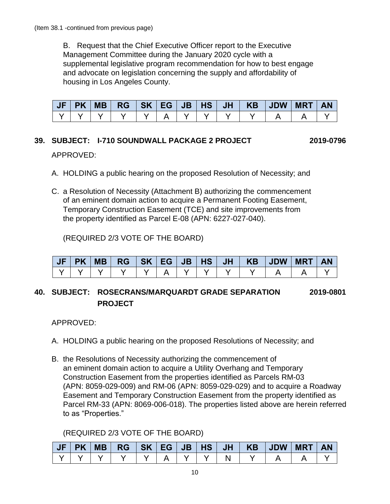B. Request that the Chief Executive Officer report to the Executive Management Committee during the January 2020 cycle with a supplemental legislative program recommendation for how to best engage and advocate on legislation concerning the supply and affordability of housing in Los Angeles County.

|  |  |  |  |  | JF PK MB  RG  SK EG JB HS JH   KB  JDW MRT | <b>AN</b> |
|--|--|--|--|--|--------------------------------------------|-----------|
|  |  |  |  |  |                                            |           |

# **39. SUBJECT: I-710 SOUNDWALL PACKAGE 2 PROJECT 2019-0796**

### APPROVED:

- A. HOLDING a public hearing on the proposed Resolution of Necessity; and
- C. a Resolution of Necessity (Attachment B) authorizing the commencement of an eminent domain action to acquire a Permanent Footing Easement, Temporary Construction Easement (TCE) and site improvements from the property identified as Parcel E-08 (APN: 6227-027-040).

(REQUIRED 2/3 VOTE OF THE BOARD)

| JF | <b>PK</b> | <b>MB</b> | $RG$ $SK$ $EG$ $\vert$ |  | $\overline{\mathsf{UB}}$ HS | JH <sub>V</sub> | KB | <b>UDW</b> | <b>MRT</b> | <b>AN</b> |
|----|-----------|-----------|------------------------|--|-----------------------------|-----------------|----|------------|------------|-----------|
|    |           |           |                        |  |                             |                 |    |            |            |           |

# **40. SUBJECT: ROSECRANS/MARQUARDT GRADE SEPARATION 2019-0801 PROJECT**

APPROVED:

- A. HOLDING a public hearing on the proposed Resolutions of Necessity; and
- B. the Resolutions of Necessity authorizing the commencement of an eminent domain action to acquire a Utility Overhang and Temporary Construction Easement from the properties identified as Parcels RM-03 (APN: 8059-029-009) and RM-06 (APN: 8059-029-029) and to acquire a Roadway Easement and Temporary Construction Easement from the property identified as Parcel RM-33 (APN: 8069-006-018). The properties listed above are herein referred to as "Properties."

# (REQUIRED 2/3 VOTE OF THE BOARD)

| JF |  |  |  |  |  | PK MB  RG   SK EG JB HS JH   KB  JDW MRT AN |  |
|----|--|--|--|--|--|---------------------------------------------|--|
|    |  |  |  |  |  |                                             |  |